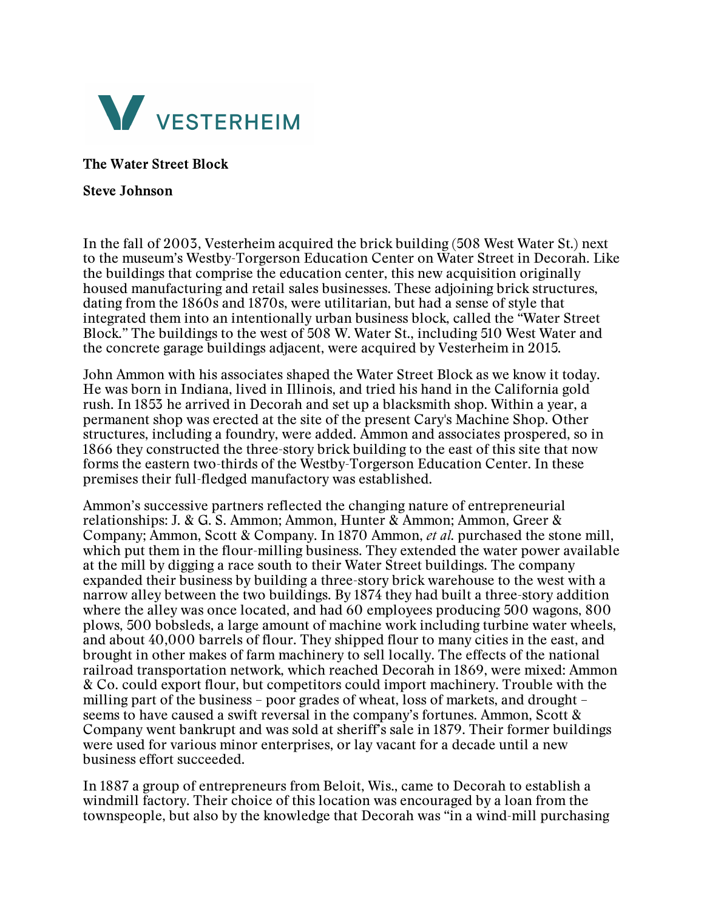

**The Water Street Block**

## **Steve Johnson**

In the fall of 2003, Vesterheim acquired the brick building (508 West Water St.) next to the museum's Westby-Torgerson Education Center on Water Street in Decorah. Like the buildings that comprise the education center, this new acquisition originally housed manufacturing and retail sales businesses. These adjoining brick structures, dating from the 1860s and 1870s, were utilitarian, but had a sense of style that integrated them into an intentionally urban business block, called the "Water Street Block." The buildings to the west of 508 W. Water St., including 510 West Water and the concrete garage buildings adjacent, were acquired by Vesterheim in 2015.

John Ammon with his associates shaped the Water Street Block as we know it today. He was born in Indiana, lived in Illinois, and tried his hand in the California gold rush. In 1853 he arrived in Decorah and set up a blacksmith shop. Within a year, a permanent shop was erected at the site of the present Cary's Machine Shop. Other structures, including a foundry, were added. Ammon and associates prospered, so in 1866 they constructed the three-story brick building to the east of this site that now forms the eastern two-thirds of the Westby-Torgerson Education Center. In these premises their full-fledged manufactory was established.

Ammon's successive partners reflected the changing nature of entrepreneurial relationships: J. & G. S. Ammon; Ammon, Hunter & Ammon; Ammon, Greer & Company; Ammon, Scott & Company. In 1870 Ammon, *et al*. purchased the stone mill, which put them in the flour-milling business. They extended the water power available at the mill by digging a race south to their Water Street buildings. The company expanded their business by building a three-story brick warehouse to the west with a narrow alley between the two buildings. By 1874 they had built a three-story addition where the alley was once located, and had 60 employees producing 500 wagons, 800 plows, 500 bobsleds, a large amount of machine work including turbine water wheels, and about 40,000 barrels of flour. They shipped flour to many cities in the east, and brought in other makes of farm machinery to sell locally. The effects of the national railroad transportation network, which reached Decorah in 1869, were mixed: Ammon & Co. could export flour, but competitors could import machinery. Trouble with the milling part of the business – poor grades of wheat, loss of markets, and drought – seems to have caused a swift reversal in the company's fortunes. Ammon, Scott & Company went bankrupt and was sold at sheriff's sale in 1879. Their former buildings were used for various minor enterprises, or lay vacant for a decade until a new business effort succeeded.

In 1887 a group of entrepreneurs from Beloit, Wis., came to Decorah to establish a windmill factory. Their choice of this location was encouraged by a loan from the townspeople, but also by the knowledge that Decorah was "in a wind-mill purchasing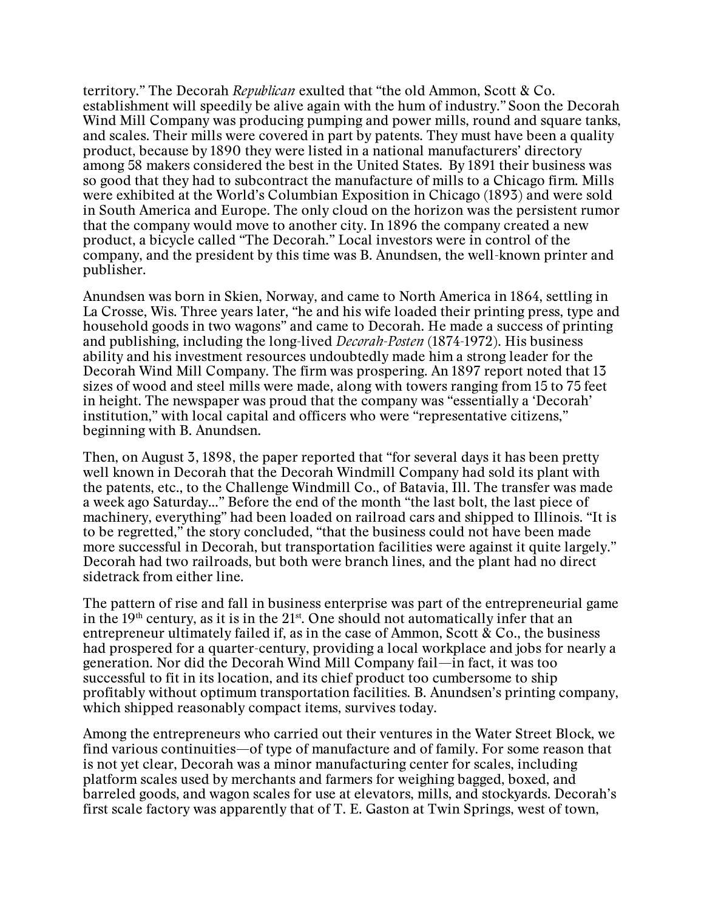territory." The Decorah *Republican* exulted that "the old Ammon, Scott & Co. establishment will speedily be alive again with the hum of industry." Soon the Decorah Wind Mill Company was producing pumping and power mills, round and square tanks, and scales. Their mills were covered in part by patents. They must have been a quality product, because by 1890 they were listed in a national manufacturers' directory among 58 makers considered the best in the United States. By 1891 their business was so good that they had to subcontract the manufacture of mills to a Chicago firm. Mills were exhibited at the World's Columbian Exposition in Chicago (1893) and were sold in South America and Europe. The only cloud on the horizon was the persistent rumor that the company would move to another city. In 1896 the company created a new product, a bicycle called "The Decorah." Local investors were in control of the company, and the president by this time was B. Anundsen, the well-known printer and publisher.

Anundsen was born in Skien, Norway, and came to North America in 1864, settling in La Crosse, Wis. Three years later, "he and his wife loaded their printing press, type and household goods in two wagons" and came to Decorah. He made a success of printing and publishing, including the long-lived *Decorah-Posten* (1874-1972). His business ability and his investment resources undoubtedly made him a strong leader for the Decorah Wind Mill Company. The firm was prospering. An 1897 report noted that 13 sizes of wood and steel mills were made, along with towers ranging from 15 to 75 feet in height. The newspaper was proud that the company was "essentially a 'Decorah' institution," with local capital and officers who were "representative citizens," beginning with B. Anundsen.

Then, on August 3, 1898, the paper reported that "for several days it has been pretty well known in Decorah that the Decorah Windmill Company had sold its plant with the patents, etc., to the Challenge Windmill Co., of Batavia, Ill. The transfer was made a week ago Saturday..." Before the end of the month "the last bolt, the last piece of machinery, everything" had been loaded on railroad cars and shipped to Illinois. "It is to be regretted," the story concluded, "that the business could not have been made more successful in Decorah, but transportation facilities were against it quite largely." Decorah had two railroads, but both were branch lines, and the plant had no direct sidetrack from either line.

The pattern of rise and fall in business enterprise was part of the entrepreneurial game in the  $19<sup>th</sup>$  century, as it is in the  $21<sup>st</sup>$ . One should not automatically infer that an entrepreneur ultimately failed if, as in the case of Ammon, Scott  $\&$  Co., the business had prospered for a quarter-century, providing a local workplace and jobs for nearly a generation. Nor did the Decorah Wind Mill Company fail—in fact, it was too successful to fit in its location, and its chief product too cumbersome to ship profitably without optimum transportation facilities. B. Anundsen's printing company, which shipped reasonably compact items, survives today.

Among the entrepreneurs who carried out their ventures in the Water Street Block, we find various continuities—of type of manufacture and of family. For some reason that is not yet clear, Decorah was a minor manufacturing center for scales, including platform scales used by merchants and farmers for weighing bagged, boxed, and barreled goods, and wagon scales for use at elevators, mills, and stockyards. Decorah's first scale factory was apparently that of T. E. Gaston at Twin Springs, west of town,